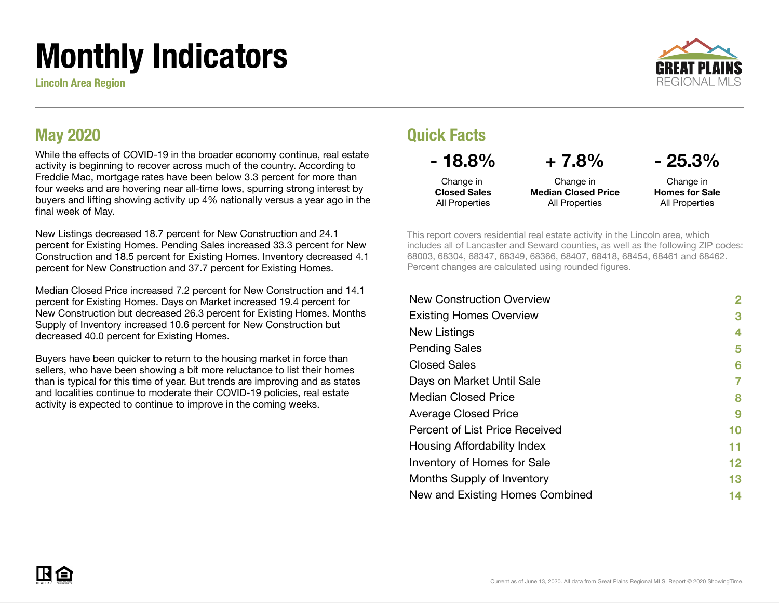# Monthly Indicators

Lincoln Area Region



### May 2020

While the effects of COVID-19 in the broader economy continue, real estate activity is beginning to recover across much of the country. According to Freddie Mac, mortgage rates have been below 3.3 percent for more than four weeks and are hovering near all-time lows, spurring strong interest by buyers and lifting showing activity up 4% nationally versus a year ago in the final week of May.

New Listings decreased 18.7 percent for New Construction and 24.1 percent for Existing Homes. Pending Sales increased 33.3 percent for New Construction and 18.5 percent for Existing Homes. Inventory decreased 4.1 percent for New Construction and 37.7 percent for Existing Homes.

Median Closed Price increased 7.2 percent for New Construction and 14.1 percent for Existing Homes. Days on Market increased 19.4 percent for New Construction but decreased 26.3 percent for Existing Homes. Months Supply of Inventory increased 10.6 percent for New Construction but decreased 40.0 percent for Existing Homes.

Buyers have been quicker to return to the housing market in force than sellers, who have been showing a bit more reluctance to list their homes than is typical for this time of year. But trends are improving and as states and localities continue to moderate their COVID-19 policies, real estate activity is expected to continue to improve in the coming weeks.

### Quick Facts

| $-18.8\%$                        | $+7.8%$                                 | $-25.3\%$                          |
|----------------------------------|-----------------------------------------|------------------------------------|
| Change in<br><b>Closed Sales</b> | Change in<br><b>Median Closed Price</b> | Change in<br><b>Homes for Sale</b> |
| All Properties                   | All Properties                          | All Properties                     |

This report covers residential real estate activity in the Lincoln area, which includes all of Lancaster and Seward counties, as well as the following ZIP codes: 68003, 68304, 68347, 68349, 68366, 68407, 68418, 68454, 68461 and 68462. Percent changes are calculated using rounded figures.

| <b>New Construction Overview</b> | 2       |
|----------------------------------|---------|
| <b>Existing Homes Overview</b>   | 3       |
| New Listings                     | 4       |
| <b>Pending Sales</b>             | 5       |
| <b>Closed Sales</b>              | 6       |
| Days on Market Until Sale        | 7       |
| <b>Median Closed Price</b>       | 8       |
| <b>Average Closed Price</b>      | 9       |
| Percent of List Price Received   | 10      |
| Housing Affordability Index      | 11      |
| Inventory of Homes for Sale      | $12 \,$ |
| Months Supply of Inventory       | 13      |
| New and Existing Homes Combined  | 14      |
|                                  |         |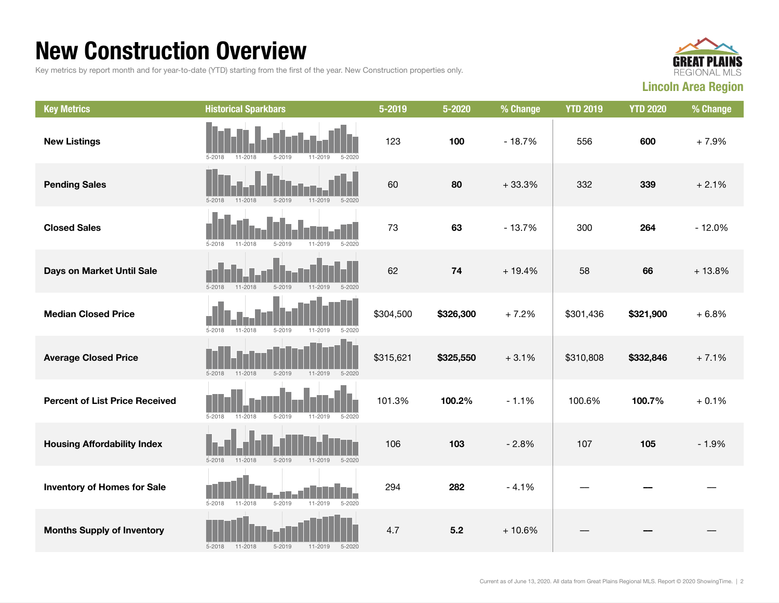### New Construction Overview

Key metrics by report month and for year-to-date (YTD) starting from the first of the year. New Construction properties only.



| <b>Key Metrics</b>                    | <b>Historical Sparkbars</b>                                          | 5-2019    | 5-2020     | % Change | <b>YTD 2019</b> | <b>YTD 2020</b> | % Change |
|---------------------------------------|----------------------------------------------------------------------|-----------|------------|----------|-----------------|-----------------|----------|
| <b>New Listings</b>                   | $5 - 2019$<br>11-2019<br>$5 - 2020$<br>$5 - 2018$<br>11-2018         | 123       | 100        | $-18.7%$ | 556             | 600             | $+7.9%$  |
| <b>Pending Sales</b>                  | $5 - 2018$<br>$11 - 2018$<br>$5 - 2019$<br>$11 - 2019$<br>$5 - 2020$ | 60        | 80         | $+33.3%$ | 332             | 339             | $+2.1%$  |
| <b>Closed Sales</b>                   | $5 - 2020$<br>$5 - 2018$<br>$11 - 2018$<br>$5 - 2019$<br>$11 - 2019$ | 73        | 63         | $-13.7%$ | 300             | 264             | $-12.0%$ |
| Days on Market Until Sale             | $5 - 2018$<br>$5 - 2019$<br>$11 - 2018$<br>$11 - 2019$<br>$5 - 2020$ | 62        | ${\bf 74}$ | $+19.4%$ | 58              | 66              | $+13.8%$ |
| <b>Median Closed Price</b>            | $5 - 2018$<br>$11 - 2018$<br>$5 - 2019$<br>$11 - 2019$<br>$5 - 2020$ | \$304,500 | \$326,300  | $+7.2%$  | \$301,436       | \$321,900       | $+6.8%$  |
| <b>Average Closed Price</b>           | $5 - 2018$<br>$5 - 2019$<br>$11 - 2018$<br>$11 - 2019$<br>$5 - 2020$ | \$315,621 | \$325,550  | $+3.1%$  | \$310,808       | \$332,846       | $+7.1%$  |
| <b>Percent of List Price Received</b> | $5 - 2018$<br>$11 - 2018$<br>$5 - 2019$<br>$11 - 2019$<br>$5 - 2020$ | 101.3%    | 100.2%     | $-1.1%$  | 100.6%          | 100.7%          | $+0.1%$  |
| <b>Housing Affordability Index</b>    | $5 - 2018$<br>$11 - 2018$<br>$5 - 2019$<br>$11 - 2019$<br>$5 - 2020$ | 106       | 103        | $-2.8%$  | 107             | 105             | $-1.9%$  |
| <b>Inventory of Homes for Sale</b>    | $5 - 2019$<br>$11 - 2019$<br>$5 - 2020$<br>$5 - 2018$<br>$11 - 2018$ | 294       | 282        | $-4.1%$  |                 |                 |          |
| <b>Months Supply of Inventory</b>     | 11-2018<br>$5 - 2019$<br>$5 - 2018$<br>$11 - 2019$<br>$5 - 2020$     | 4.7       | 5.2        | $+10.6%$ |                 |                 |          |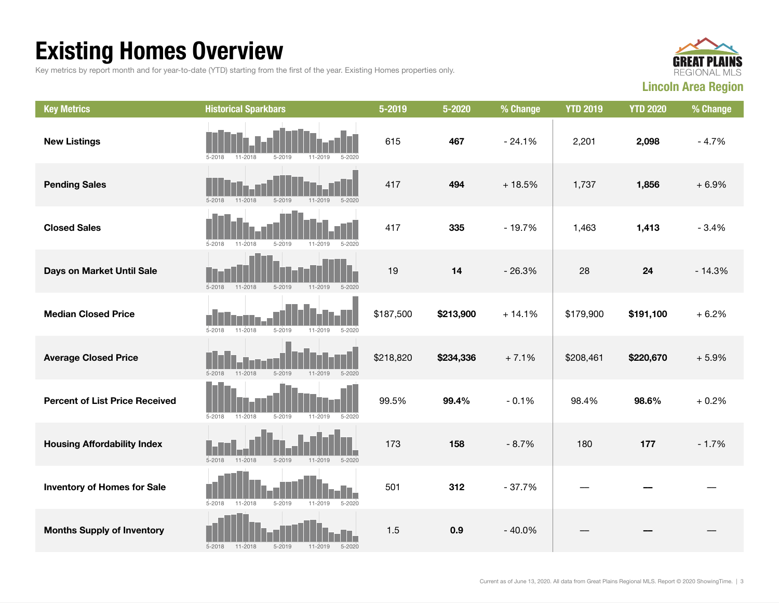## Existing Homes Overview

Key metrics by report month and for year-to-date (YTD) starting from the first of the year. Existing Homes properties only.



| <b>Key Metrics</b>                    | <b>Historical Sparkbars</b>                                          | 5-2019    | 5-2020    | % Change | <b>YTD 2019</b> | <b>YTD 2020</b> | % Change |
|---------------------------------------|----------------------------------------------------------------------|-----------|-----------|----------|-----------------|-----------------|----------|
| <b>New Listings</b>                   | $5 - 2019$<br>$5 - 2018$<br>11-2018<br>11-2019<br>$5 - 2020$         | 615       | 467       | $-24.1%$ | 2,201           | 2,098           | $-4.7%$  |
| <b>Pending Sales</b>                  | $5 - 2018$<br>$11 - 2018$<br>$5 - 2019$<br>$5 - 2020$<br>$11 - 2019$ | 417       | 494       | $+18.5%$ | 1,737           | 1,856           | $+6.9%$  |
| <b>Closed Sales</b>                   | $5 - 2019$<br>$5 - 2018$<br>$11 - 2018$<br>$11 - 2019$<br>$5 - 2020$ | 417       | 335       | $-19.7%$ | 1,463           | 1,413           | $-3.4%$  |
| Days on Market Until Sale             | $5 - 2018$<br>$11 - 2018$<br>$5 - 2019$<br>11-2019<br>$5 - 2020$     | 19        | 14        | $-26.3%$ | 28              | 24              | $-14.3%$ |
| <b>Median Closed Price</b>            | $5 - 2018$<br>$5 - 2019$<br>$11 - 2019$<br>$5 - 2020$<br>11-2018     | \$187,500 | \$213,900 | $+14.1%$ | \$179,900       | \$191,100       | $+6.2%$  |
| <b>Average Closed Price</b>           | $5 - 2018$<br>$11 - 2018$<br>$5 - 2019$<br>$5 - 2020$<br>11-2019     | \$218,820 | \$234,336 | $+7.1%$  | \$208,461       | \$220,670       | $+5.9%$  |
| <b>Percent of List Price Received</b> | $5 - 2019$<br>$5 - 2018$<br>$11 - 2018$<br>$11 - 2019$<br>$5 - 2020$ | 99.5%     | 99.4%     | $-0.1%$  | 98.4%           | 98.6%           | $+0.2%$  |
| <b>Housing Affordability Index</b>    | $5 - 2018$<br>$11 - 2018$<br>$5 - 2019$<br>$11 - 2019$<br>$5 - 2020$ | 173       | 158       | $-8.7%$  | 180             | 177             | $-1.7%$  |
| <b>Inventory of Homes for Sale</b>    | $5 - 2018$<br>$5 - 2019$<br>$5 - 2020$<br>11-2018<br>$11 - 2019$     | 501       | 312       | $-37.7%$ |                 |                 |          |
| <b>Months Supply of Inventory</b>     | $5 - 2018$<br>11-2018<br>$5 - 2019$<br>$11 - 2019$<br>$5 - 2020$     | 1.5       | 0.9       | $-40.0%$ |                 |                 |          |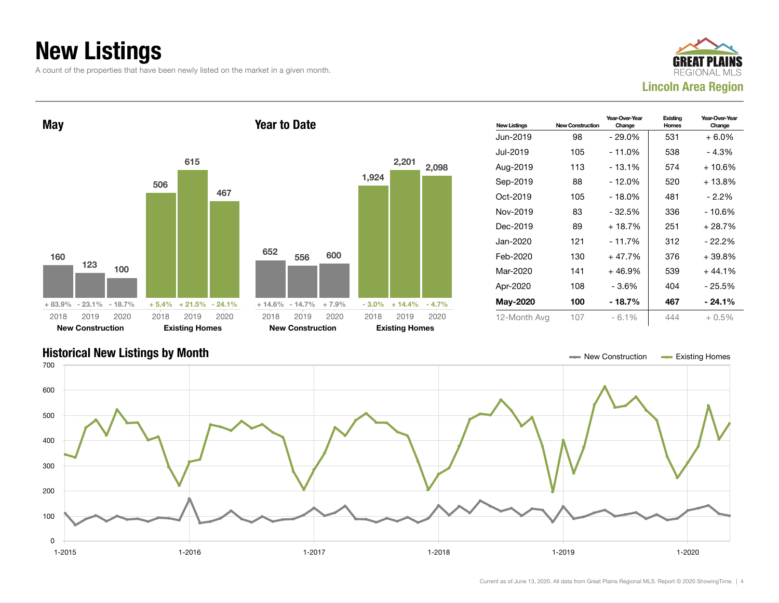## New Listings

A count of the properties that have been newly listed on the market in a given month.





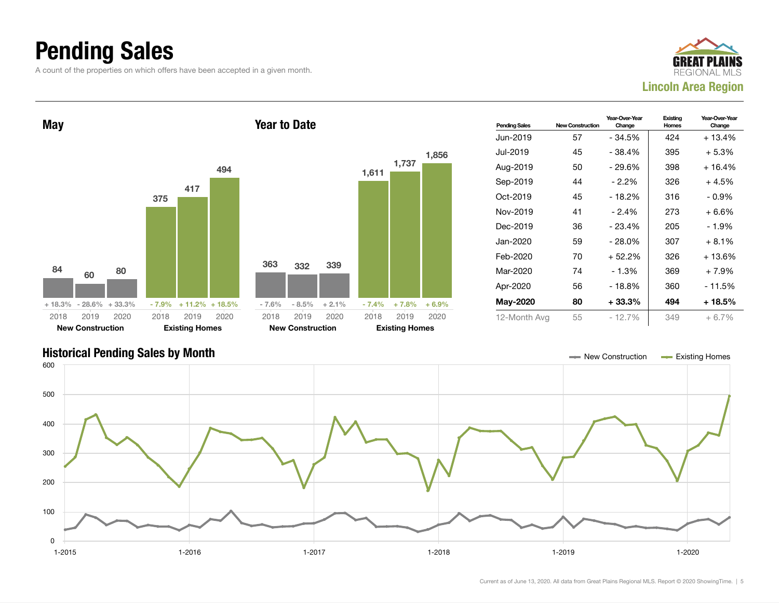### Pending Sales

A count of the properties on which offers have been accepted in a given month.







Current as of June 13, 2020. All data from Great Plains Regional MLS. Report © 2020 ShowingTime. | 5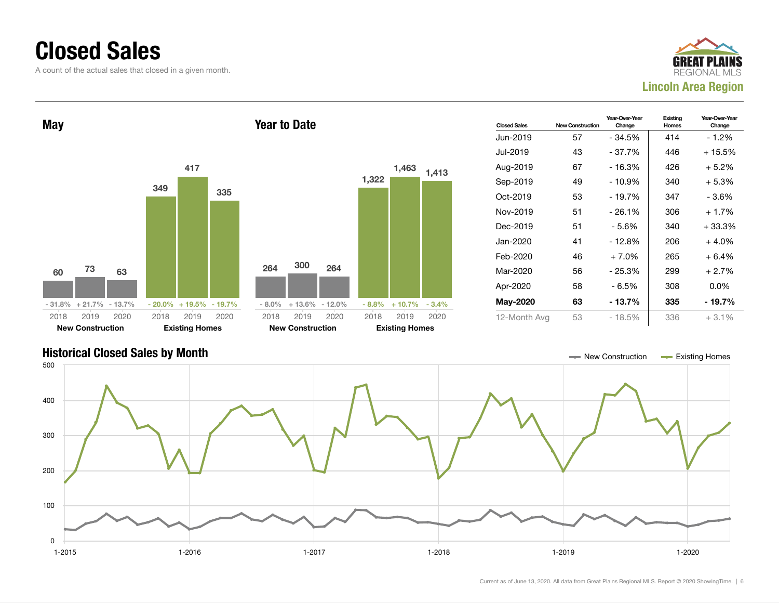### Closed Sales

A count of the actual sales that closed in a given month.







#### Current as of June 13, 2020. All data from Great Plains Regional MLS. Report © 2020 ShowingTime. | 6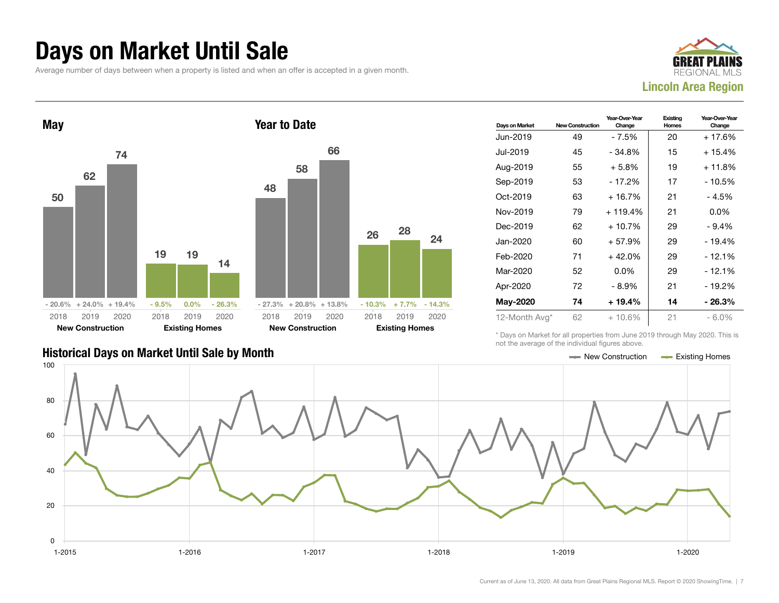### Days on Market Until Sale

Average number of days between when a property is listed and when an offer is accepted in a given month.





| Days on Market | <b>New Construction</b> | Year-Over-Year<br>Change | Existing<br>Homes | Year-Over-Year<br>Change |
|----------------|-------------------------|--------------------------|-------------------|--------------------------|
| Jun-2019       | 49                      | - 7.5%                   | 20                | + 17.6%                  |
| Jul-2019       | 45                      | - 34.8%                  | 15                | $+15.4%$                 |
| Aug-2019       | 55                      | $+5.8\%$                 | 19                | $+11.8%$                 |
| Sep-2019       | 53                      | $-17.2%$                 | 17                | $-10.5%$                 |
| Oct-2019       | 63                      | $+16.7%$                 | 21                | $-4.5%$                  |
| Nov-2019       | 79                      | $+119.4%$                | 21                | $0.0\%$                  |
| Dec-2019       | 62                      | $+10.7%$                 | 29                | $-9.4%$                  |
| Jan-2020       | 60                      | + 57.9%                  | 29                | $-19.4%$                 |
| Feb-2020       | 71                      | $+42.0%$                 | 29                | $-12.1%$                 |
| Mar-2020       | 52                      | $0.0\%$                  | 29                | $-12.1%$                 |
| Apr-2020       | 72                      | - 8.9%                   | 21                | $-19.2%$                 |
| May-2020       | 74                      | $+19.4%$                 | 14                | - 26.3%                  |
| 12-Month Avg*  | 62                      | $+10.6%$                 | 21                | $-6.0\%$                 |

#### Historical Days on Market Until Sale by Month New York New York New York New York New York New York Homes Existing Homes

\* Days on Market for all properties from June 2019 through May 2020. This is not the average of the individual figures above.

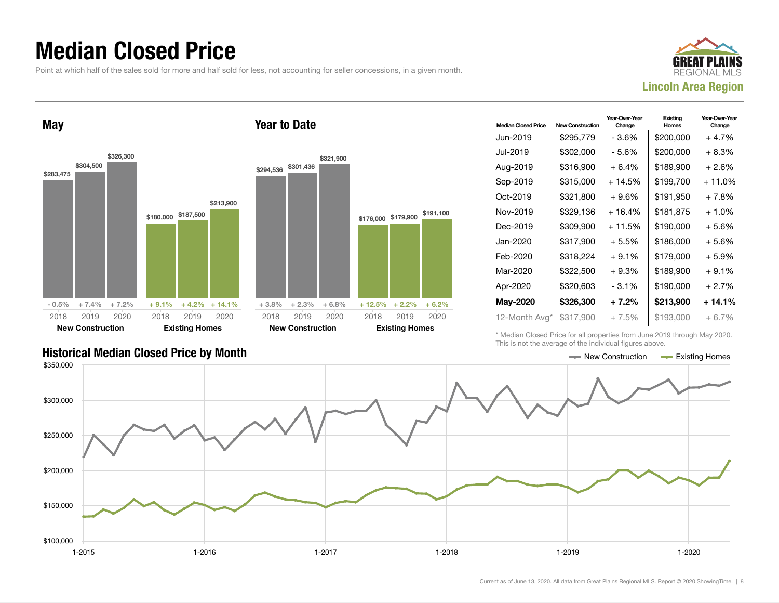### Median Closed Price

Point at which half of the sales sold for more and half sold for less, not accounting for seller concessions, in a given month.



May \$283,475 \$304,500 \$326,300  $-0.5\%$   $+7.4\%$   $+7.2\%$ \$180,000 \$187,500 \$213,900  $+9.1\% + 4.2\% + 14.1\%$ 2018 New Construction 2019 2020 2018 Existing Homes 2019 2020 Year to Date \$294,536 \$301,436 \$321,900 + 3.8% + 2.3% + 6.8% \$176,000 \$179,900  $+ 12.5\% + 2.2\% + 6.2\%$ 2018 New Construction 2019 2020 2018 Existing Homes 2019 2020

| <b>Median Closed Price</b> | <b>New Construction</b> | Year-Over-Year<br>Change | Existina<br>Homes | Year-Over-Year<br>Change |
|----------------------------|-------------------------|--------------------------|-------------------|--------------------------|
| Jun-2019                   | \$295,779               | - 3.6%                   | \$200,000         | $+4.7%$                  |
| Jul-2019                   | \$302,000               | - 5.6%                   | \$200,000         | $+8.3%$                  |
| Aug-2019                   | \$316,900               | $+6.4%$                  | \$189,900         | $+2.6%$                  |
| Sep-2019                   | \$315,000               | + 14.5%                  | \$199,700         | + 11.0%                  |
| Oct-2019                   | \$321,800               | $+9.6%$                  | \$191,950         | $+7.8%$                  |
| Nov-2019                   | \$329.136               | $+16.4%$                 | \$181,875         | $+1.0%$                  |
| Dec-2019                   | \$309,900               | $+11.5%$                 | \$190,000         | $+5.6%$                  |
| Jan-2020                   | \$317,900               | $+5.5%$                  | \$186,000         | $+5.6%$                  |
| Feb-2020                   | \$318,224               | $+9.1%$                  | \$179,000         | $+5.9%$                  |
| Mar-2020                   | \$322,500               | $+9.3%$                  | \$189,900         | $+9.1%$                  |
| Apr-2020                   | \$320,603               | - 3.1%                   | \$190,000         | $+2.7%$                  |
| <b>May-2020</b>            | \$326,300               | $+7.2%$                  | \$213,900         | + 14.1%                  |
| 12-Month Avg*              | \$317,900               | $+7.5%$                  | \$193,000         | $+6.7%$                  |

\* Median Closed Price for all properties from June 2019 through May 2020. This is not the average of the individual figures above.



\$191,100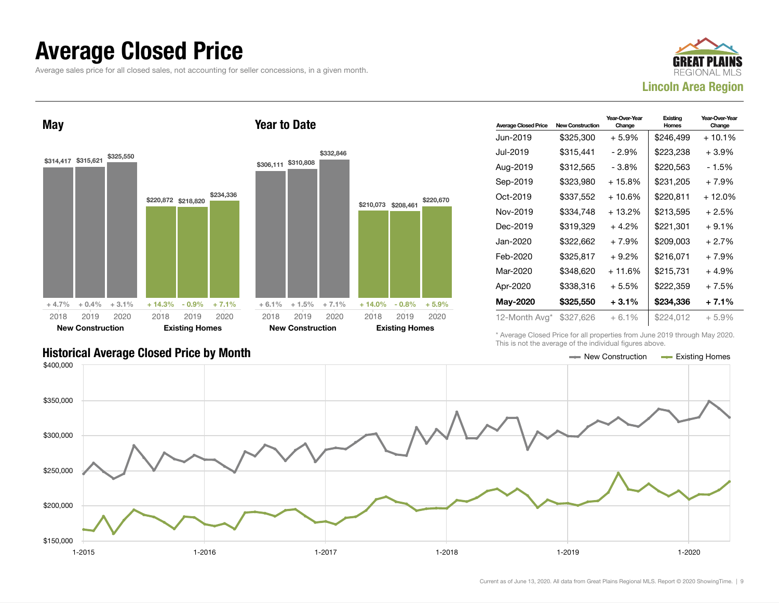### Average Closed Price

Average sales price for all closed sales, not accounting for seller concessions, in a given month.



May \$314,417 \$315,621 \$325,550  $+4.7\%$   $+0.4\%$   $+3.1\%$ \$220,872 \$218,820 \$234,336  $+ 14.3\% - 0.9\% + 7.1\%$ 2018 New Construction 2019 2020 2018 Existing Homes 2019 2020 Year to Date \$306,111 \$310,808 \$332,846  $+ 6.1\% + 1.5\% + 7.1\%$ \$210,073 \$208,461 \$220,670  $+14.0\%$  - 0.8% + 5.9% 2018 New Construction 2019 2020 2018 Existing Homes 2019 2020

| <b>Average Closed Price</b> | <b>New Construction</b> | Year-Over-Year<br>Change | Existing<br>Homes | Year-Over-Year<br>Change |
|-----------------------------|-------------------------|--------------------------|-------------------|--------------------------|
| Jun-2019                    | \$325,300               | $+5.9\%$                 | \$246,499         | $+10.1\%$                |
| Jul-2019                    | \$315,441               | - 2.9%                   | \$223,238         | +3.9%                    |
| Aug-2019                    | \$312,565               | - 3.8%                   | \$220,563         | - 1.5%                   |
| Sep-2019                    | \$323,980               | + 15.8%                  | \$231,205         | + 7.9%                   |
| Oct-2019                    | \$337,552               | $+10.6%$                 | \$220,811         | + 12.0%                  |
| Nov-2019                    | \$334.748               | $+13.2%$                 | \$213.595         | + 2.5%                   |
| Dec-2019                    | \$319,329               | $+4.2%$                  | \$221,301         | $+9.1%$                  |
| Jan-2020                    | \$322,662               | $+7.9%$                  | \$209.003         | $+2.7%$                  |
| Feb-2020                    | \$325,817               | $+9.2\%$                 | \$216.071         | + 7.9%                   |
| Mar-2020                    | \$348,620               | $+11.6%$                 | \$215,731         | $+4.9%$                  |
| Apr-2020                    | \$338,316               | $+5.5%$                  | \$222,359         | + 7.5%                   |
| May-2020                    | \$325,550               | $+3.1%$                  | \$234,336         | + 7.1%                   |
| 12-Month Avg*               | \$327,626               | + 6.1%                   | \$224,012         | + 5.9%                   |

\* Average Closed Price for all properties from June 2019 through May 2020. This is not the average of the individual figures above.

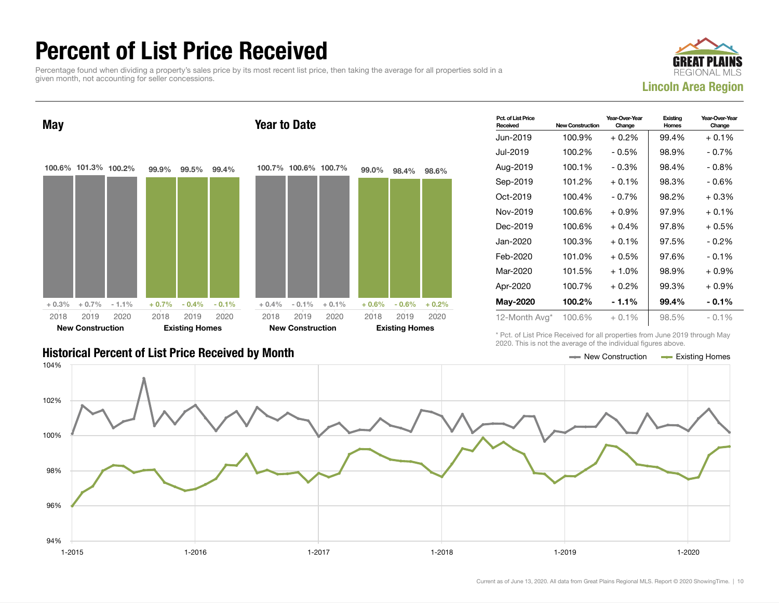### Percent of List Price Received

Percentage found when dividing a property's sales price by its most recent list price, then taking the average for all properties sold in a given month, not accounting for seller concessions.



May 100.6% 101.3% 100.2%  $+ 0.3\% + 0.7\% - 1.1\%$ 99.9% 99.5% 99.4%  $+ 0.7\%$  - 0.4% - 0.1% 2018 New Construction 2019 2020 2018 Existing Homes 2019 2020 Year to Date 100.7% 100.6% 100.7%  $+ 0.4\% - 0.1\% + 0.1\%$ 99.0% 98.4% 98.6%  $+ 0.6\% - 0.6\% + 0.2\%$ 2018 New Construction 2019 2020 2018 Existing Homes 2019 2020

| <b>Historical Percent of List Price Received by Month</b> | Rew Construction | <b>Existing Homes</b> |
|-----------------------------------------------------------|------------------|-----------------------|

| Pct. of List Price<br>Received | <b>New Construction</b> | Year-Over-Year<br>Change | Existing<br>Homes | Year-Over-Year<br>Change |
|--------------------------------|-------------------------|--------------------------|-------------------|--------------------------|
| Jun-2019                       | 100.9%                  | $+0.2%$                  | 99.4%             | $+0.1\%$                 |
| Jul-2019                       | 100.2%                  | $-0.5%$                  | 98.9%             | $-0.7\%$                 |
| Aug-2019                       | 100.1%                  | $-0.3%$                  | 98.4%             | $-0.8%$                  |
| Sep-2019                       | 101.2%                  | $+0.1%$                  | 98.3%             | - 0.6%                   |
| Oct-2019                       | 100.4%                  | $-0.7\%$                 | 98.2%             | $+0.3%$                  |
| Nov-2019                       | 100.6%                  | $+0.9%$                  | 97.9%             | $+0.1%$                  |
| Dec-2019                       | 100.6%                  | $+0.4%$                  | 97.8%             | $+0.5%$                  |
| Jan-2020                       | 100.3%                  | $+0.1\%$                 | 97.5%             | - 0.2%                   |
| Feb-2020                       | 101.0%                  | $+0.5%$                  | 97.6%             | $-0.1%$                  |
| Mar-2020                       | 101.5%                  | $+1.0%$                  | 98.9%             | $+0.9\%$                 |
| Apr-2020                       | 100.7%                  | $+0.2\%$                 | 99.3%             | $+0.9\%$                 |
| <b>May-2020</b>                | 100.2%                  | - 1.1%                   | 99.4%             | $-0.1%$                  |
| 12-Month Avg*                  | 100.6%                  | $+0.1\%$                 | 98.5%             | $-0.1%$                  |

\* Pct. of List Price Received for all properties from June 2019 through May 2020. This is not the average of the individual figures above.

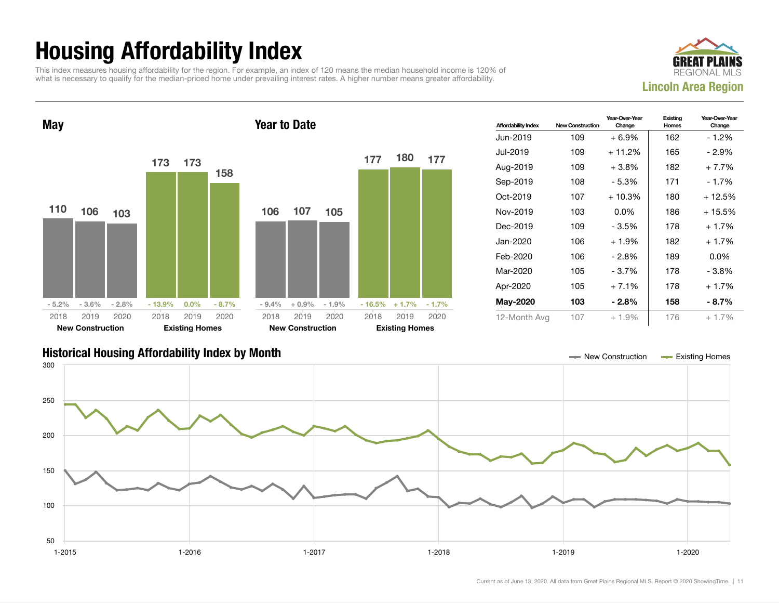## Housing Affordability Index

This index measures housing affordability for the region. For example, an index of 120 means the median household income is 120% of what is necessary to qualify for the median-priced home under prevailing interest rates. A higher number means greater affordability.



Year-Over-Year Change

Existing Homes

Year-Over-Year Change



| <b>Historical Housing Affordability Index by Month</b> | New Construction | <b>Existing Homes</b> |
|--------------------------------------------------------|------------------|-----------------------|
|                                                        |                  |                       |

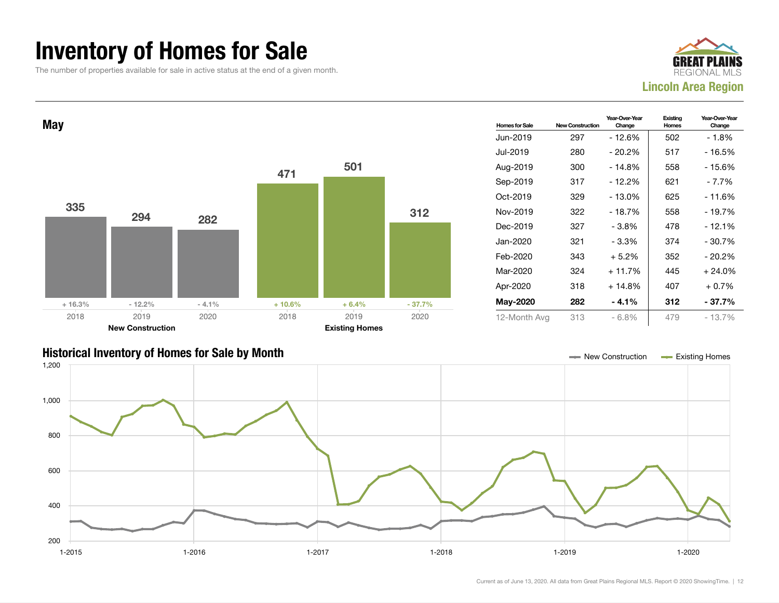### Inventory of Homes for Sale

The number of properties available for sale in active status at the end of a given month.





#### Historical Inventory of Homes for Sale by Month New Construction Existing Homes

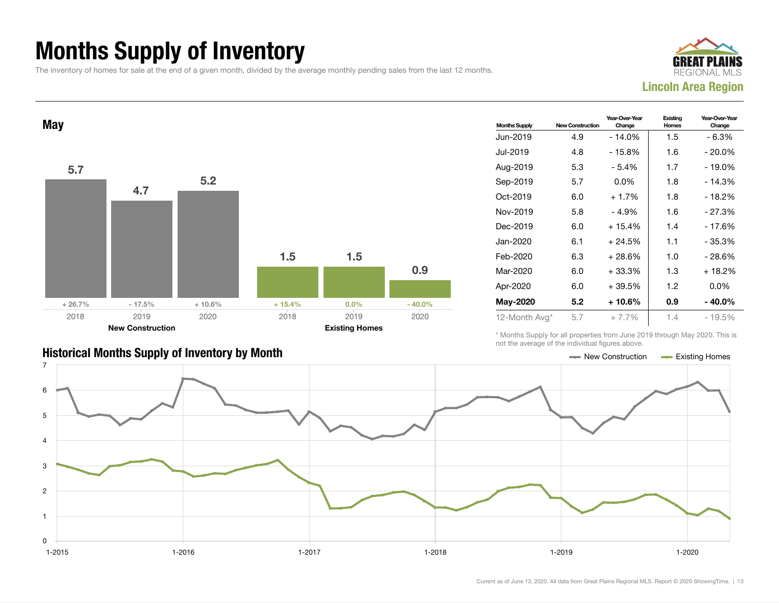### Months Supply of Inventory

The inventory of homes for sale at the end of a given month, divided by the average monthly pending sales from the last 12 months.





| <b>Months Supply</b> | <b>New Construction</b> | Year-Over-Year<br>Change | Existing<br>Homes | Year-Over-Year<br>Change |
|----------------------|-------------------------|--------------------------|-------------------|--------------------------|
| Jun-2019             | 4.9                     | $-14.0%$                 | 1.5               | $-6.3%$                  |
| Jul-2019             | 4.8                     | - 15.8%                  | 1.6               | $-20.0\%$                |
| Aug-2019             | 5.3                     | - 5.4%                   | 1.7               | - 19.0%                  |
| Sep-2019             | 5.7                     | $0.0\%$                  | 1.8               | $-14.3%$                 |
| Oct-2019             | 6.0                     | $+1.7%$                  | 1.8               | - 18.2%                  |
| Nov-2019             | 5.8                     | - 4.9%                   | 1.6               | - 27.3%                  |
| Dec-2019             | 6.0                     | $+15.4%$                 | 1.4               | - 17.6%                  |
| Jan-2020             | 6.1                     | $+24.5%$                 | 1.1               | - 35.3%                  |
| Feb-2020             | 6.3                     | + 28.6%                  | 1.0               | - 28.6%                  |
| Mar-2020             | 6.0                     | $+33.3%$                 | 1.3               | $+18.2%$                 |
| Apr-2020             | 6.0                     | +39.5%                   | 1.2               | $0.0\%$                  |
| May-2020             | 5.2                     | + 10.6%                  | 0.9               | $-40.0\%$                |
| 12-Month Avg*        | 5.7                     | $+7.7\%$                 | 1.4               | - 19.5%                  |

\* Months Supply for all properties from June 2019 through May 2020. This is not the average of the individual figures above.